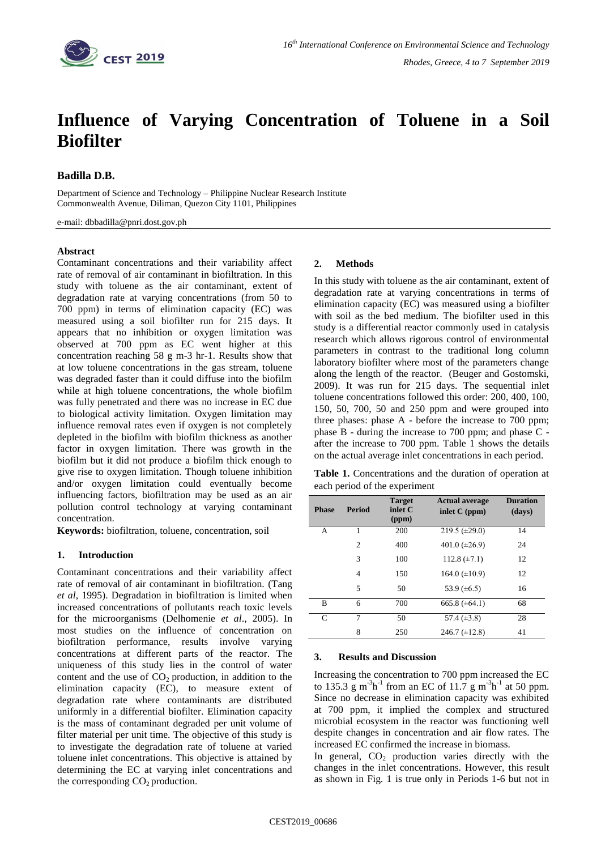

# **Influence of Varying Concentration of Toluene in a Soil Biofilter**

# **Badilla D.B.**

Department of Science and Technology – Philippine Nuclear Research Institute Commonwealth Avenue, Diliman, Quezon City 1101, Philippines

e-mail: dbbadilla@pnri.dost.gov.ph

### **Abstract**

Contaminant concentrations and their variability affect rate of removal of air contaminant in biofiltration. In this study with toluene as the air contaminant, extent of degradation rate at varying concentrations (from 50 to 700 ppm) in terms of elimination capacity (EC) was measured using a soil biofilter run for 215 days. It appears that no inhibition or oxygen limitation was observed at 700 ppm as EC went higher at this concentration reaching 58 g m-3 hr-1. Results show that at low toluene concentrations in the gas stream, toluene was degraded faster than it could diffuse into the biofilm while at high toluene concentrations, the whole biofilm was fully penetrated and there was no increase in EC due to biological activity limitation. Oxygen limitation may influence removal rates even if oxygen is not completely depleted in the biofilm with biofilm thickness as another factor in oxygen limitation. There was growth in the biofilm but it did not produce a biofilm thick enough to give rise to oxygen limitation. Though toluene inhibition and/or oxygen limitation could eventually become influencing factors, biofiltration may be used as an air pollution control technology at varying contaminant concentration.

**Keywords:** biofiltration, toluene, concentration, soil

## **1. Introduction**

Contaminant concentrations and their variability affect rate of removal of air contaminant in biofiltration. (Tang *et al*, 1995). Degradation in biofiltration is limited when increased concentrations of pollutants reach toxic levels for the microorganisms (Delhomenie *et al*., 2005). In most studies on the influence of concentration on biofiltration performance, results involve varying concentrations at different parts of the reactor. The uniqueness of this study lies in the control of water content and the use of  $CO<sub>2</sub>$  production, in addition to the elimination capacity (EC), to measure extent of degradation rate where contaminants are distributed uniformly in a differential biofilter. Elimination capacity is the mass of contaminant degraded per unit volume of filter material per unit time. The objective of this study is to investigate the degradation rate of toluene at varied toluene inlet concentrations. This objective is attained by determining the EC at varying inlet concentrations and the corresponding  $CO<sub>2</sub>$  production.

## **2. Methods**

In this study with toluene as the air contaminant, extent of degradation rate at varying concentrations in terms of elimination capacity (EC) was measured using a biofilter with soil as the bed medium. The biofilter used in this study is a differential reactor commonly used in catalysis research which allows rigorous control of environmental parameters in contrast to the traditional long column laboratory biofilter where most of the parameters change along the length of the reactor. (Beuger and Gostomski, 2009). It was run for 215 days. The sequential inlet toluene concentrations followed this order: 200, 400, 100, 150, 50, 700, 50 and 250 ppm and were grouped into three phases: phase A - before the increase to 700 ppm; phase B - during the increase to 700 ppm; and phase C after the increase to 700 ppm. Table 1 shows the details on the actual average inlet concentrations in each period.

**Table 1.** Concentrations and the duration of operation at each period of the experiment

| <b>Phase</b> | <b>Period</b>  | <b>Target</b><br>inlet C<br>(ppm) | <b>Actual average</b><br>inlet $C$ (ppm) | <b>Duration</b><br>(days) |
|--------------|----------------|-----------------------------------|------------------------------------------|---------------------------|
| А            |                | 200                               | 219.5 $(\pm 29.0)$                       | 14                        |
|              | $\overline{c}$ | 400                               | 401.0 $(\pm 26.9)$                       | 24                        |
|              | 3              | 100                               | 112.8 $(\pm 7.1)$                        | 12                        |
|              | 4              | 150                               | 164.0 $(\pm 10.9)$                       | 12                        |
|              | 5              | 50                                | 53.9 $(\pm 6.5)$                         | 16                        |
| B            | 6              | 700                               | 665.8 $(\pm 64.1)$                       | 68                        |
| C            | 7              | 50                                | 57.4 $(\pm 3.8)$                         | 28                        |
|              | 8              | 250                               | 246.7 $(\pm 12.8)$                       | 41                        |

### **3. Results and Discussion**

Increasing the concentration to 700 ppm increased the EC to 135.3  $\rm g$  m<sup>-3</sup>h<sup>-1</sup> from an EC of 11.7  $\rm g$  m<sup>-3</sup>h<sup>-1</sup> at 50 ppm. Since no decrease in elimination capacity was exhibited at 700 ppm, it implied the complex and structured microbial ecosystem in the reactor was functioning well despite changes in concentration and air flow rates. The increased EC confirmed the increase in biomass.

In general,  $CO<sub>2</sub>$  production varies directly with the changes in the inlet concentrations. However, this result as shown in Fig. 1 is true only in Periods 1-6 but not in